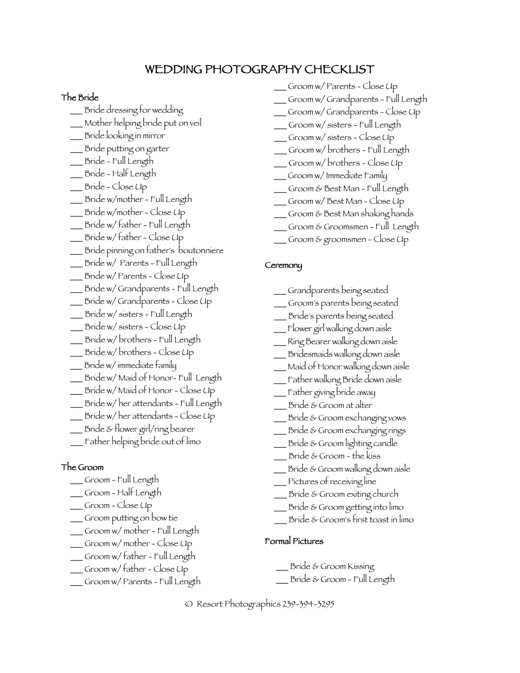# WEDDING PHOTOGRAPHY CHECKLIST

#### The Bride

- \_\_\_ Bride dressing for wedding
- \_\_\_ Mother helping bride put on veil
- \_\_\_ Bride looking in mirror
- \_\_\_ Bride putting on garter
- \_\_\_ Bride Full Length
- \_\_\_ Bride Half Length
- \_\_\_ Bride Close Up
- \_\_\_ Bride w/mother Full Length
- \_\_\_ Bride w/mother Close Up
- \_\_\_ Bride w/ father Full Length
- \_\_\_ Bride w/ father Close Up
- \_\_\_ Bride pinning on father's boutonniere
- \_\_\_ Bride w/ Parents Full Length
- \_\_\_ Bride w/ Parents Close Up \_\_\_ Bride w/ Grandparents - Full Length
- \_\_\_ Bride w/ Grandparents Close Up
- \_\_\_ Bride w/ sisters Full Length
- \_\_\_ Bride w/ sisters Close Up
- \_\_\_ Bride w/ brothers Full Length
- \_\_\_ Bride w/ brothers Close Up
- \_\_\_ Bride w/ immediate family
- \_\_\_ Bride w/ Maid of Honor- Full Length
- \_\_\_ Bride w/ Maid of Honor Close Up
- \_\_\_ Bride w/ her attendants Full Length
- \_\_\_ Bride w/ her attendants Close Up
- \_\_\_ Bride & flower girl/ring bearer
- \_\_\_ Father helping bride out of limo

### The Groom

- \_\_\_ Groom Full Length
- \_\_\_ Groom Half Length
- \_\_\_ Groom Close Up
- \_\_\_ Groom putting on bow tie
- \_\_\_ Groom w/ mother Full Length
- \_\_\_ Groom w/ mother Close Up
- \_\_\_ Groom w/ father Full Length
- \_\_\_ Groom w/ father Close Up
- \_\_\_ Groom w/ Parents Full Length
- \_\_\_ Groom w/ Parents Close Up
- \_\_\_ Groom w/ Grandparents Full Length
- \_\_\_ Groom w/ Grandparents Close Up
- \_\_\_ Groom w/ sisters Full Length
- \_\_\_ Groom w/ sisters Close Up
- \_\_\_ Groom w/ brothers Full Length
- \_\_\_ Groom w/ brothers Close Up
- \_\_\_ Groom w/ Immediate Family
- \_\_\_ Groom & Best Man Full Length
- \_\_\_ Groom w/ Best Man Close Up
- \_\_\_ Groom & Best Man shaking hands
- \_\_\_ Groom & Groomsmen Full Length
- Groom & groomsmen Close Up

#### **Ceremony**

- \_\_\_ Grandparents being seated
- \_\_\_ Groom's parents being seated
- \_\_\_ Bride's parents being seated
- \_\_\_ Flower girl walking down aisle
- \_\_\_ Ring Bearer walking down aisle
- \_\_\_ Bridesmaids walking down aisle
- \_\_\_ Maid of Honor walking down aisle
- \_\_\_ Father walking Bride down aisle
- \_\_\_ Father giving bride away
- \_\_\_ Bride & Groom at alter
- \_\_\_ Bride & Groom exchanging vows
- \_\_\_ Bride & Groom exchanging rings
- \_\_\_ Bride & Groom lighting candle
- Bride & Groom the kiss
- \_\_\_ Bride & Groom walking down aisle
- \_\_\_ Pictures of receiving line
- $\_$  Bride & Groom exiting church
- \_\_\_ Bride & Groom getting into limo
- Bride & Groom's first toast in limo

#### Formal Pictures

- Bride & Groom Kissing
- \_\_\_ Bride & Groom Full Length

© Resort Photographics 239-394-3295